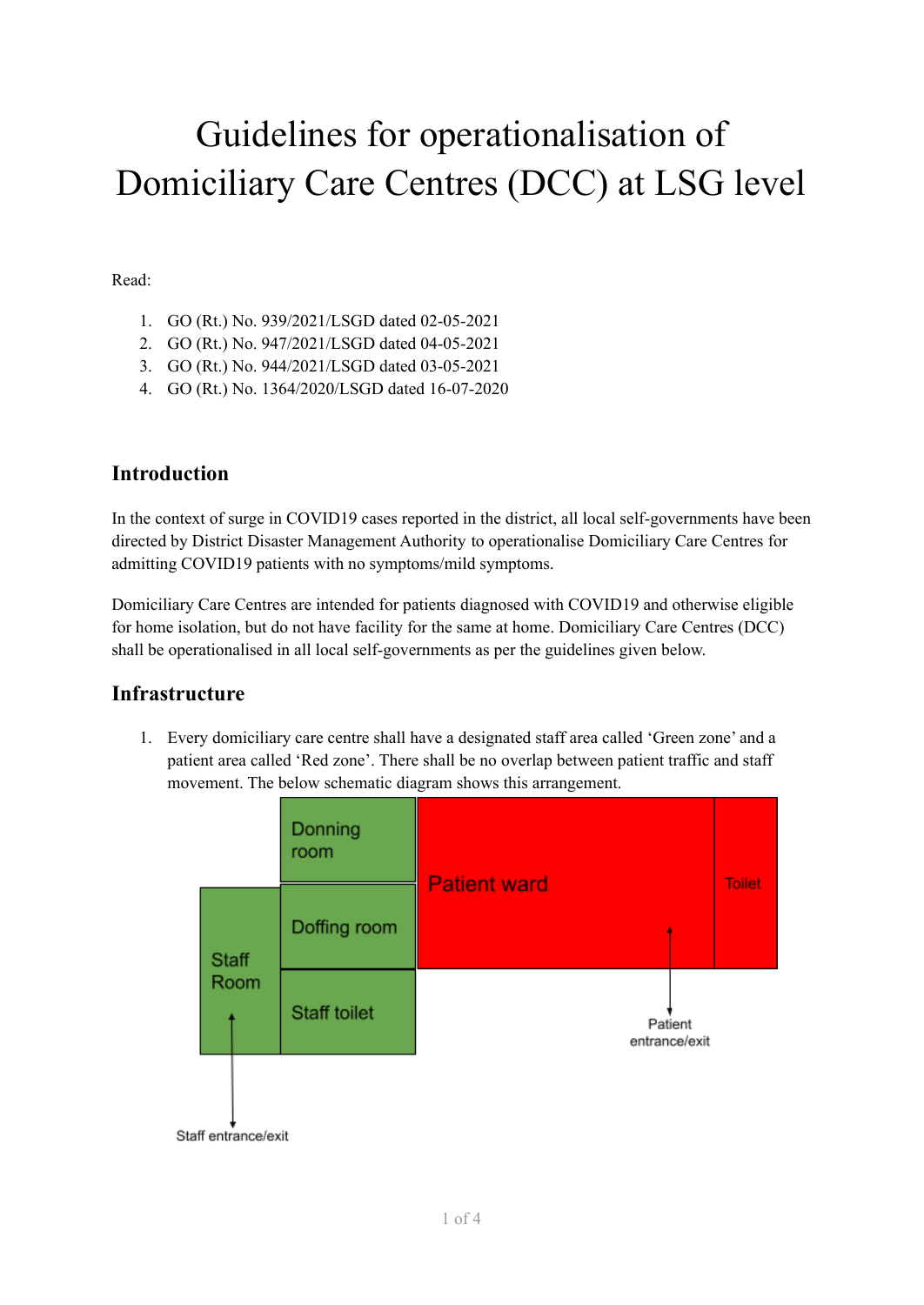# Guidelines for operationalisation of Domiciliary Care Centres (DCC) at LSG level

Read:

- 1. GO (Rt.) No. 939/2021/LSGD dated 02-05-2021
- 2. GO (Rt.) No. 947/2021/LSGD dated 04-05-2021
- 3. GO (Rt.) No. 944/2021/LSGD dated 03-05-2021
- 4. GO (Rt.) No. 1364/2020/LSGD dated 16-07-2020

## **Introduction**

In the context of surge in COVID19 cases reported in the district, all local self-governments have been directed by District Disaster Management Authority to operationalise Domiciliary Care Centres for admitting COVID19 patients with no symptoms/mild symptoms.

Domiciliary Care Centres are intended for patients diagnosed with COVID19 and otherwise eligible for home isolation, but do not have facility for the same at home. Domiciliary Care Centres (DCC) shall be operationalised in all local self-governments as per the guidelines given below.

# **Infrastructure**

1. Every domiciliary care centre shall have a designated staff area called 'Green zone' and a patient area called 'Red zone'. There shall be no overlap between patient traffic and staff movement. The below schematic diagram shows this arrangement.

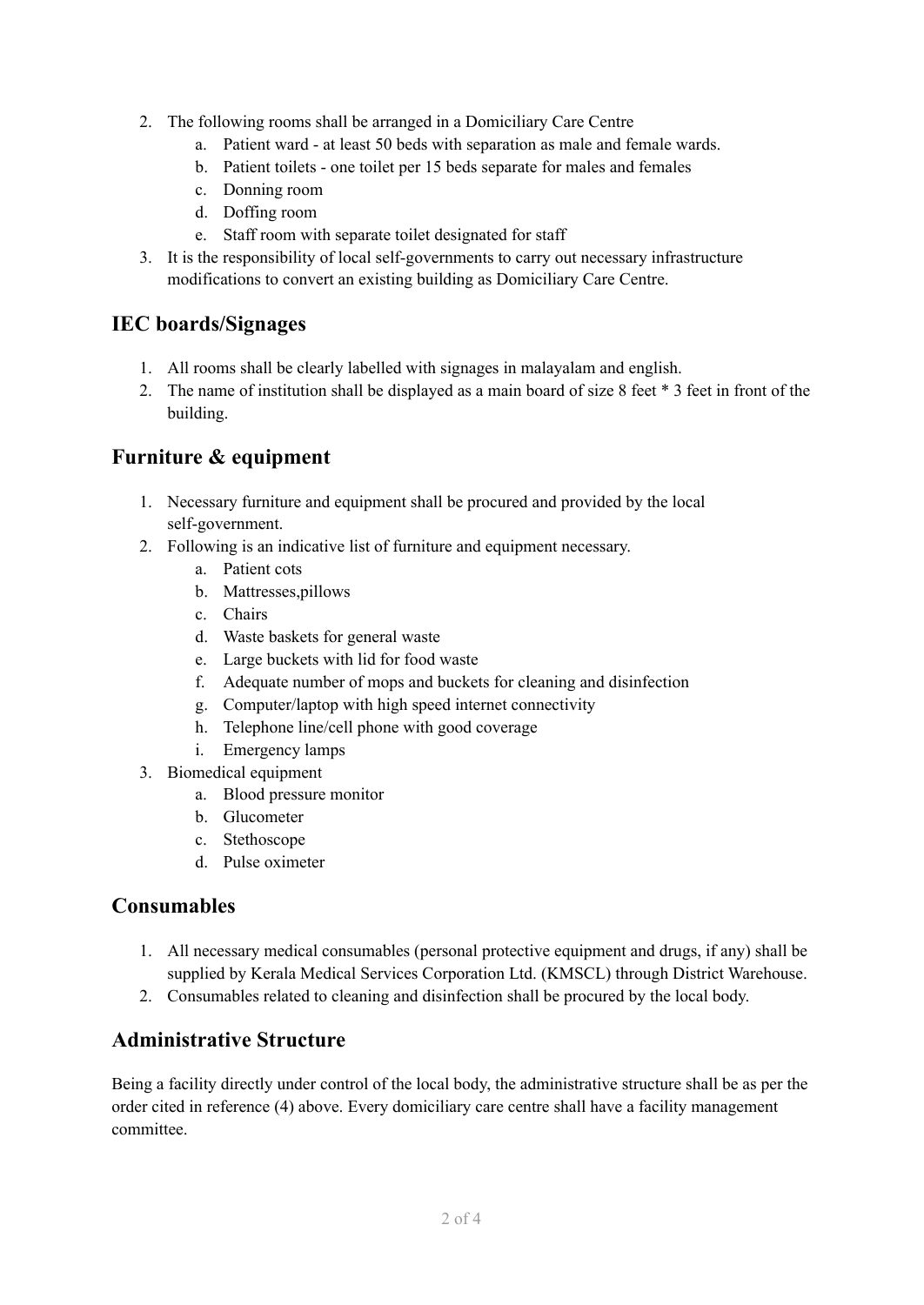- 2. The following rooms shall be arranged in a Domiciliary Care Centre
	- a. Patient ward at least 50 beds with separation as male and female wards.
	- b. Patient toilets one toilet per 15 beds separate for males and females
	- c. Donning room
	- d. Doffing room
	- e. Staff room with separate toilet designated for staff
- 3. It is the responsibility of local self-governments to carry out necessary infrastructure modifications to convert an existing building as Domiciliary Care Centre.

## **IEC boards/Signages**

- 1. All rooms shall be clearly labelled with signages in malayalam and english.
- 2. The name of institution shall be displayed as a main board of size 8 feet \* 3 feet in front of the building.

## **Furniture & equipment**

- 1. Necessary furniture and equipment shall be procured and provided by the local self-government.
- 2. Following is an indicative list of furniture and equipment necessary.
	- a. Patient cots
	- b. Mattresses,pillows
	- c. Chairs
	- d. Waste baskets for general waste
	- e. Large buckets with lid for food waste
	- f. Adequate number of mops and buckets for cleaning and disinfection
	- g. Computer/laptop with high speed internet connectivity
	- h. Telephone line/cell phone with good coverage
	- i. Emergency lamps
- 3. Biomedical equipment
	- a. Blood pressure monitor
	- b. Glucometer
	- c. Stethoscope
	- d. Pulse oximeter

#### **Consumables**

- 1. All necessary medical consumables (personal protective equipment and drugs, if any) shall be supplied by Kerala Medical Services Corporation Ltd. (KMSCL) through District Warehouse.
- 2. Consumables related to cleaning and disinfection shall be procured by the local body.

#### **Administrative Structure**

Being a facility directly under control of the local body, the administrative structure shall be as per the order cited in reference (4) above. Every domiciliary care centre shall have a facility management committee.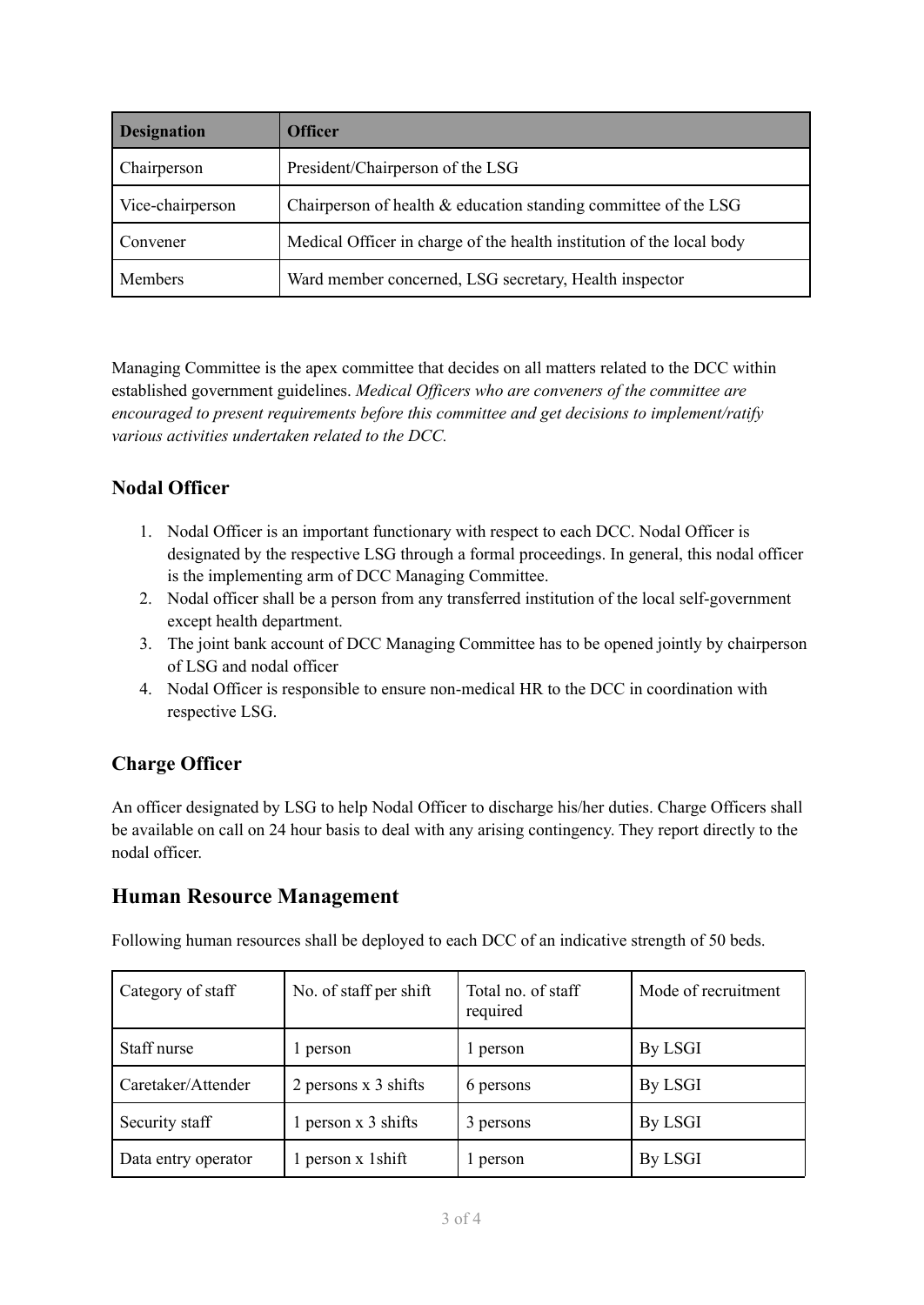| <b>Designation</b> | <b>Officer</b>                                                        |  |  |
|--------------------|-----------------------------------------------------------------------|--|--|
| Chairperson        | President/Chairperson of the LSG                                      |  |  |
| Vice-chairperson   | Chairperson of health & education standing committee of the LSG       |  |  |
| Convener           | Medical Officer in charge of the health institution of the local body |  |  |
| Members            | Ward member concerned, LSG secretary, Health inspector                |  |  |

Managing Committee is the apex committee that decides on all matters related to the DCC within established government guidelines. *Medical Of icers who are conveners of the committee are encouraged to present requirements before this committee and get decisions to implement/ratify various activities undertaken related to the DCC.*

# **Nodal Officer**

- 1. Nodal Officer is an important functionary with respect to each DCC. Nodal Officer is designated by the respective LSG through a formal proceedings. In general, this nodal officer is the implementing arm of DCC Managing Committee.
- 2. Nodal officer shall be a person from any transferred institution of the local self-government except health department.
- 3. The joint bank account of DCC Managing Committee has to be opened jointly by chairperson of LSG and nodal officer
- 4. Nodal Officer is responsible to ensure non-medical HR to the DCC in coordination with respective LSG.

# **Charge Officer**

An officer designated by LSG to help Nodal Officer to discharge his/her duties. Charge Officers shall be available on call on 24 hour basis to deal with any arising contingency. They report directly to the nodal officer.

# **Human Resource Management**

Following human resources shall be deployed to each DCC of an indicative strength of 50 beds.

| Category of staff   | No. of staff per shift | Total no. of staff<br>required | Mode of recruitment |
|---------------------|------------------------|--------------------------------|---------------------|
| Staff nurse         | 1 person               | 1 person                       | By LSGI             |
| Caretaker/Attender  | 2 persons x 3 shifts   | 6 persons                      | By LSGI             |
| Security staff      | 1 person x 3 shifts    | 3 persons                      | By LSGI             |
| Data entry operator | person x 1shift        | 1 person                       | By LSGI             |